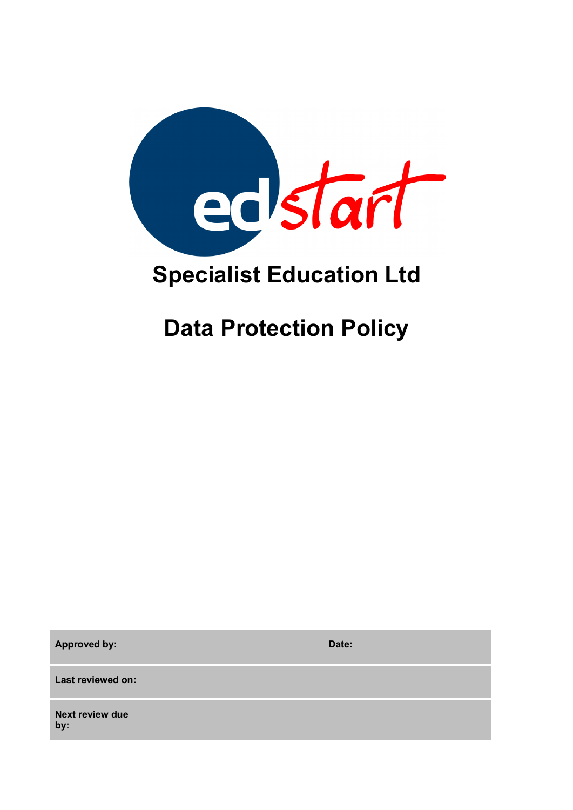

# **Specialist Education Ltd**

# **Data Protection Policy**

**Approved by: Date:**

**Last reviewed on:**

**Next review due by:**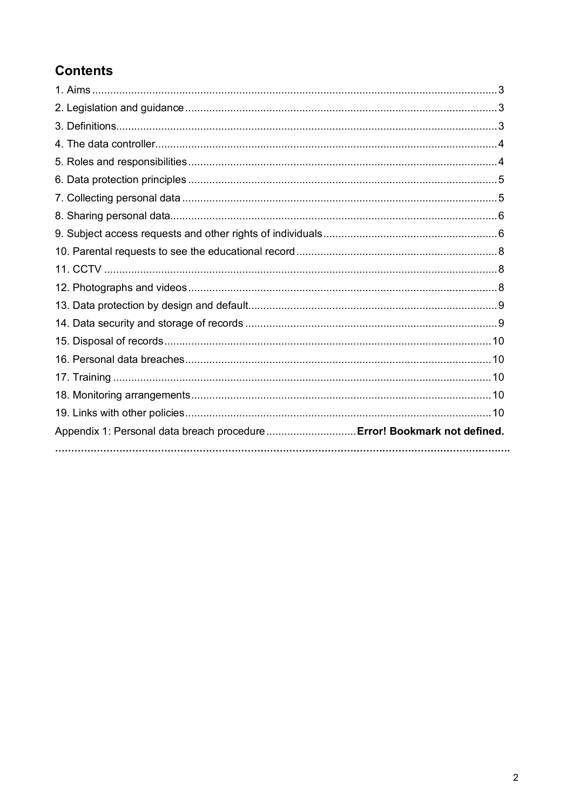# **Contents**

| Appendix 1: Personal data breach procedure  Error! Bookmark not defined. |  |
|--------------------------------------------------------------------------|--|
|                                                                          |  |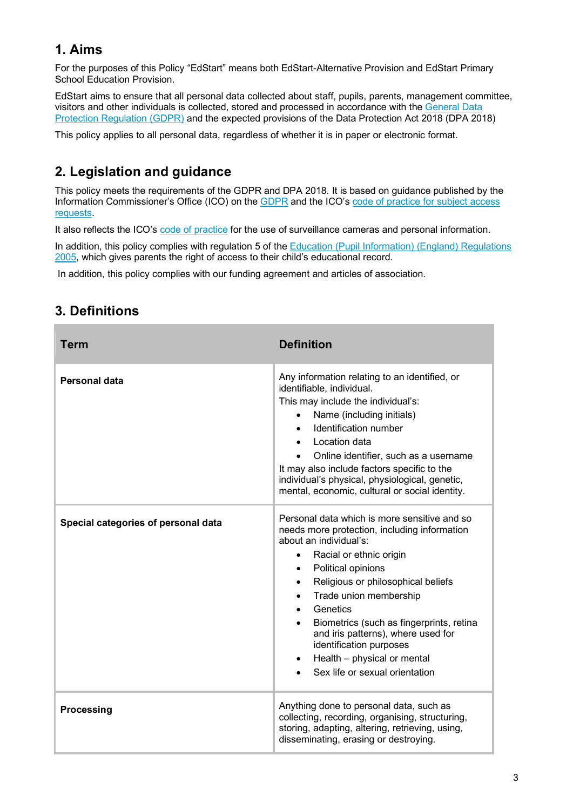# **1. Aims**

For the purposes of this Policy "EdStart" means both EdStart-Alternative Provision and EdStart Primary School Education Provision.

EdStart aims to ensure that all personal data collected about staff, pupils, parents, management committee, visitors and other individuals is collected, stored and processed in accordance with the General Data Protection Regulation (GDPR) and the expected provisions of the Data Protection Act 2018 (DPA 2018)

This policy applies to all personal data, regardless of whether it is in paper or electronic format.

# **2. Legislation and guidance**

This policy meets the requirements of the GDPR and DPA 2018. It is based on guidance published by the Information Commissioner's Office (ICO) on the GDPR and the ICO's code of practice for subject access requests.

It also reflects the ICO's code of practice for the use of surveillance cameras and personal information.

In addition, this policy complies with regulation 5 of the Education (Pupil Information) (England) Regulations 2005, which gives parents the right of access to their child's educational record.

In addition, this policy complies with our funding agreement and articles of association.

# **3. Definitions**

| Term                                | <b>Definition</b>                                                                                                                                                                                                                                                                                                                                                                                                                                                        |
|-------------------------------------|--------------------------------------------------------------------------------------------------------------------------------------------------------------------------------------------------------------------------------------------------------------------------------------------------------------------------------------------------------------------------------------------------------------------------------------------------------------------------|
| Personal data                       | Any information relating to an identified, or<br>identifiable, individual.<br>This may include the individual's:<br>Name (including initials)<br>Identification number<br>Location data<br>Online identifier, such as a username<br>It may also include factors specific to the<br>individual's physical, physiological, genetic,<br>mental, economic, cultural or social identity.                                                                                      |
| Special categories of personal data | Personal data which is more sensitive and so<br>needs more protection, including information<br>about an individual's:<br>Racial or ethnic origin<br>$\bullet$<br>Political opinions<br>$\bullet$<br>Religious or philosophical beliefs<br>$\bullet$<br>Trade union membership<br>Genetics<br>Biometrics (such as fingerprints, retina<br>and iris patterns), where used for<br>identification purposes<br>Health - physical or mental<br>Sex life or sexual orientation |
| <b>Processing</b>                   | Anything done to personal data, such as<br>collecting, recording, organising, structuring,<br>storing, adapting, altering, retrieving, using,<br>disseminating, erasing or destroying.                                                                                                                                                                                                                                                                                   |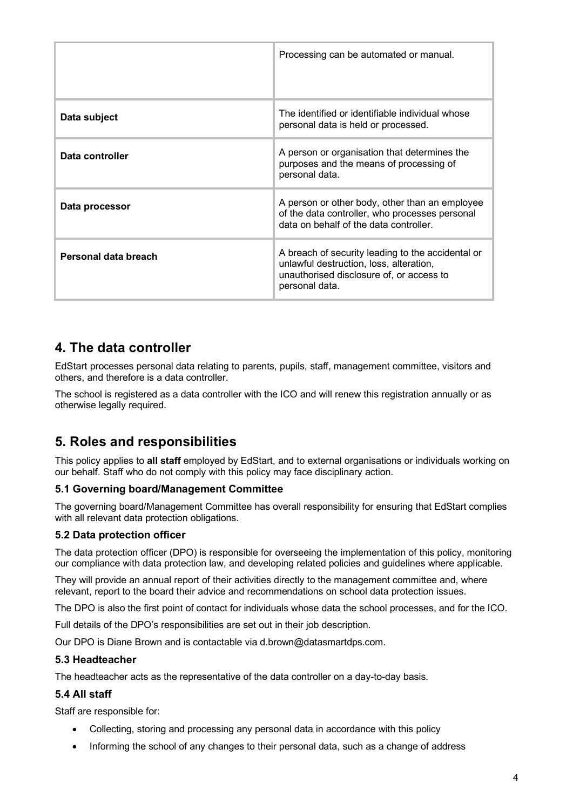|                      | Processing can be automated or manual.                                                                                                                     |
|----------------------|------------------------------------------------------------------------------------------------------------------------------------------------------------|
| Data subject         | The identified or identifiable individual whose<br>personal data is held or processed.                                                                     |
| Data controller      | A person or organisation that determines the<br>purposes and the means of processing of<br>personal data.                                                  |
| Data processor       | A person or other body, other than an employee<br>of the data controller, who processes personal<br>data on behalf of the data controller.                 |
| Personal data breach | A breach of security leading to the accidental or<br>unlawful destruction, loss, alteration,<br>unauthorised disclosure of, or access to<br>personal data. |

## **4. The data controller**

EdStart processes personal data relating to parents, pupils, staff, management committee, visitors and others, and therefore is a data controller.

The school is registered as a data controller with the ICO and will renew this registration annually or as otherwise legally required.

# **5. Roles and responsibilities**

This policy applies to **all staff** employed by EdStart, and to external organisations or individuals working on our behalf. Staff who do not comply with this policy may face disciplinary action.

## **5.1 Governing board/Management Committee**

The governing board/Management Committee has overall responsibility for ensuring that EdStart complies with all relevant data protection obligations.

## **5.2 Data protection officer**

The data protection officer (DPO) is responsible for overseeing the implementation of this policy, monitoring our compliance with data protection law, and developing related policies and guidelines where applicable.

They will provide an annual report of their activities directly to the management committee and, where relevant, report to the board their advice and recommendations on school data protection issues.

The DPO is also the first point of contact for individuals whose data the school processes, and for the ICO.

Full details of the DPO's responsibilities are set out in their job description.

Our DPO is Diane Brown and is contactable via d.brown@datasmartdps.com.

#### **5.3 Headteacher**

The headteacher acts as the representative of the data controller on a day-to-day basis.

## **5.4 All staff**

Staff are responsible for:

- Collecting, storing and processing any personal data in accordance with this policy
- Informing the school of any changes to their personal data, such as a change of address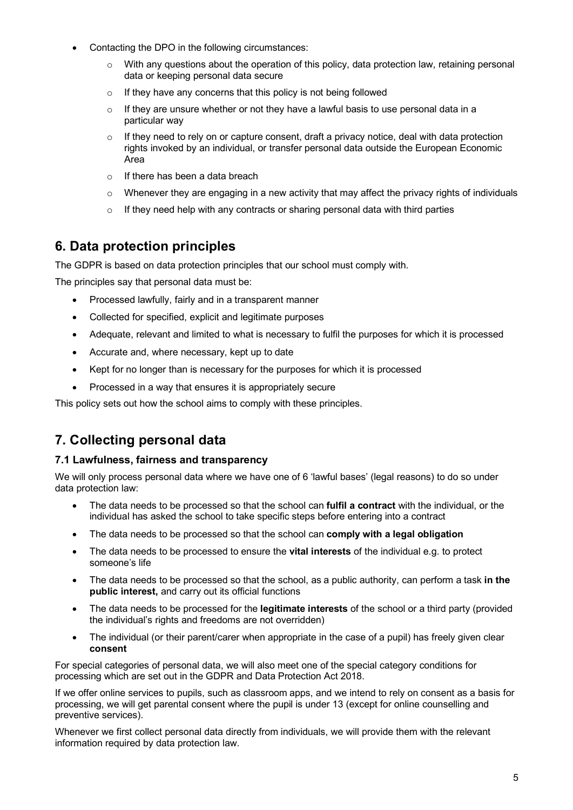- Contacting the DPO in the following circumstances:
	- $\circ$  With any questions about the operation of this policy, data protection law, retaining personal data or keeping personal data secure
	- $\circ$  If they have any concerns that this policy is not being followed
	- $\circ$  If they are unsure whether or not they have a lawful basis to use personal data in a particular way
	- $\circ$  If they need to rely on or capture consent, draft a privacy notice, deal with data protection rights invoked by an individual, or transfer personal data outside the European Economic Area
	- $\circ$  If there has been a data breach
	- $\circ$  Whenever they are engaging in a new activity that may affect the privacy rights of individuals
	- $\circ$  If they need help with any contracts or sharing personal data with third parties

# **6. Data protection principles**

The GDPR is based on data protection principles that our school must comply with.

The principles say that personal data must be:

- Processed lawfully, fairly and in a transparent manner
- Collected for specified, explicit and legitimate purposes
- Adequate, relevant and limited to what is necessary to fulfil the purposes for which it is processed
- Accurate and, where necessary, kept up to date
- Kept for no longer than is necessary for the purposes for which it is processed
- Processed in a way that ensures it is appropriately secure

This policy sets out how the school aims to comply with these principles.

# **7. Collecting personal data**

## **7.1 Lawfulness, fairness and transparency**

We will only process personal data where we have one of 6 'lawful bases' (legal reasons) to do so under data protection law:

- The data needs to be processed so that the school can **fulfil a contract** with the individual, or the individual has asked the school to take specific steps before entering into a contract
- The data needs to be processed so that the school can **comply with a legal obligation**
- The data needs to be processed to ensure the **vital interests** of the individual e.g. to protect someone's life
- The data needs to be processed so that the school, as a public authority, can perform a task **in the public interest,** and carry out its official functions
- The data needs to be processed for the **legitimate interests** of the school or a third party (provided the individual's rights and freedoms are not overridden)
- The individual (or their parent/carer when appropriate in the case of a pupil) has freely given clear **consent**

For special categories of personal data, we will also meet one of the special category conditions for processing which are set out in the GDPR and Data Protection Act 2018.

If we offer online services to pupils, such as classroom apps, and we intend to rely on consent as a basis for processing, we will get parental consent where the pupil is under 13 (except for online counselling and preventive services).

Whenever we first collect personal data directly from individuals, we will provide them with the relevant information required by data protection law.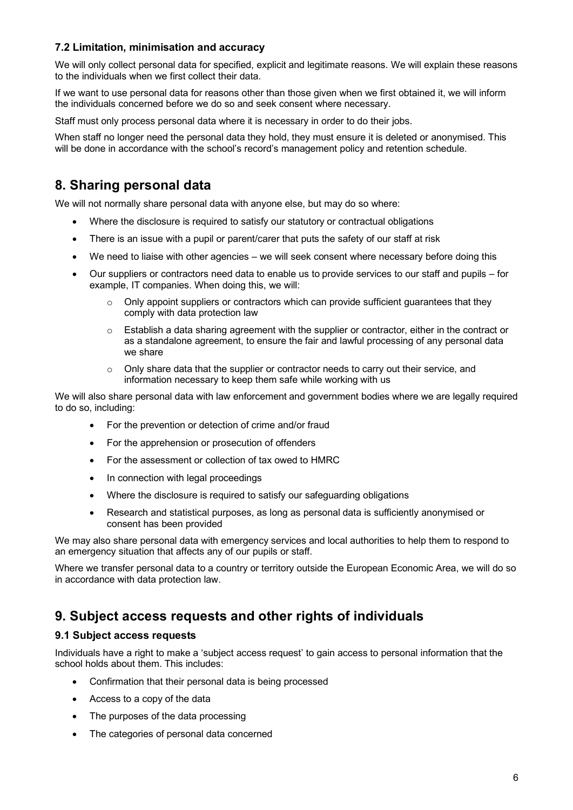## **7.2 Limitation, minimisation and accuracy**

We will only collect personal data for specified, explicit and legitimate reasons. We will explain these reasons to the individuals when we first collect their data.

If we want to use personal data for reasons other than those given when we first obtained it, we will inform the individuals concerned before we do so and seek consent where necessary.

Staff must only process personal data where it is necessary in order to do their jobs.

When staff no longer need the personal data they hold, they must ensure it is deleted or anonymised. This will be done in accordance with the school's record's management policy and retention schedule.

# **8. Sharing personal data**

We will not normally share personal data with anyone else, but may do so where:

- Where the disclosure is required to satisfy our statutory or contractual obligations
- There is an issue with a pupil or parent/carer that puts the safety of our staff at risk
- We need to liaise with other agencies we will seek consent where necessary before doing this
- Our suppliers or contractors need data to enable us to provide services to our staff and pupils for example, IT companies. When doing this, we will:
	- $\circ$  Only appoint suppliers or contractors which can provide sufficient quarantees that they comply with data protection law
	- $\circ$  Establish a data sharing agreement with the supplier or contractor, either in the contract or as a standalone agreement, to ensure the fair and lawful processing of any personal data we share
	- $\circ$  Only share data that the supplier or contractor needs to carry out their service, and information necessary to keep them safe while working with us

We will also share personal data with law enforcement and government bodies where we are legally required to do so, including:

- For the prevention or detection of crime and/or fraud
- For the apprehension or prosecution of offenders
- For the assessment or collection of tax owed to HMRC
- In connection with legal proceedings
- Where the disclosure is required to satisfy our safeguarding obligations
- Research and statistical purposes, as long as personal data is sufficiently anonymised or consent has been provided

We may also share personal data with emergency services and local authorities to help them to respond to an emergency situation that affects any of our pupils or staff.

Where we transfer personal data to a country or territory outside the European Economic Area, we will do so in accordance with data protection law.

## **9. Subject access requests and other rights of individuals**

#### **9.1 Subject access requests**

Individuals have a right to make a 'subject access request' to gain access to personal information that the school holds about them. This includes:

- Confirmation that their personal data is being processed
- Access to a copy of the data
- The purposes of the data processing
- The categories of personal data concerned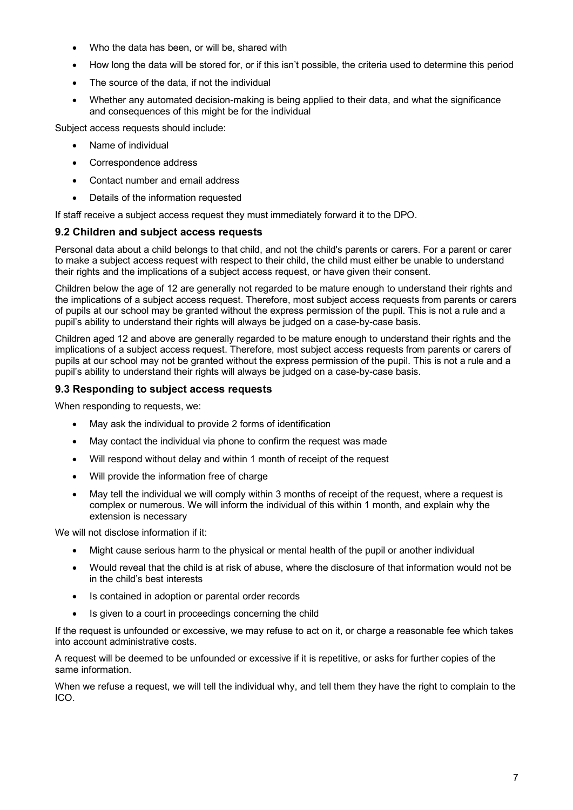- Who the data has been, or will be, shared with
- How long the data will be stored for, or if this isn't possible, the criteria used to determine this period
- The source of the data, if not the individual
- Whether any automated decision-making is being applied to their data, and what the significance and consequences of this might be for the individual

Subject access requests should include:

- Name of individual
- Correspondence address
- Contact number and email address
- Details of the information requested

If staff receive a subject access request they must immediately forward it to the DPO.

#### **9.2 Children and subject access requests**

Personal data about a child belongs to that child, and not the child's parents or carers. For a parent or carer to make a subject access request with respect to their child, the child must either be unable to understand their rights and the implications of a subject access request, or have given their consent.

Children below the age of 12 are generally not regarded to be mature enough to understand their rights and the implications of a subject access request. Therefore, most subject access requests from parents or carers of pupils at our school may be granted without the express permission of the pupil. This is not a rule and a pupil's ability to understand their rights will always be judged on a case-by-case basis.

Children aged 12 and above are generally regarded to be mature enough to understand their rights and the implications of a subject access request. Therefore, most subject access requests from parents or carers of pupils at our school may not be granted without the express permission of the pupil. This is not a rule and a pupil's ability to understand their rights will always be judged on a case-by-case basis.

#### **9.3 Responding to subject access requests**

When responding to requests, we:

- May ask the individual to provide 2 forms of identification
- May contact the individual via phone to confirm the request was made
- Will respond without delay and within 1 month of receipt of the request
- Will provide the information free of charge
- May tell the individual we will comply within 3 months of receipt of the request, where a request is complex or numerous. We will inform the individual of this within 1 month, and explain why the extension is necessary

We will not disclose information if it:

- Might cause serious harm to the physical or mental health of the pupil or another individual
- Would reveal that the child is at risk of abuse, where the disclosure of that information would not be in the child's best interests
- Is contained in adoption or parental order records
- Is given to a court in proceedings concerning the child

If the request is unfounded or excessive, we may refuse to act on it, or charge a reasonable fee which takes into account administrative costs.

A request will be deemed to be unfounded or excessive if it is repetitive, or asks for further copies of the same information.

When we refuse a request, we will tell the individual why, and tell them they have the right to complain to the ICO.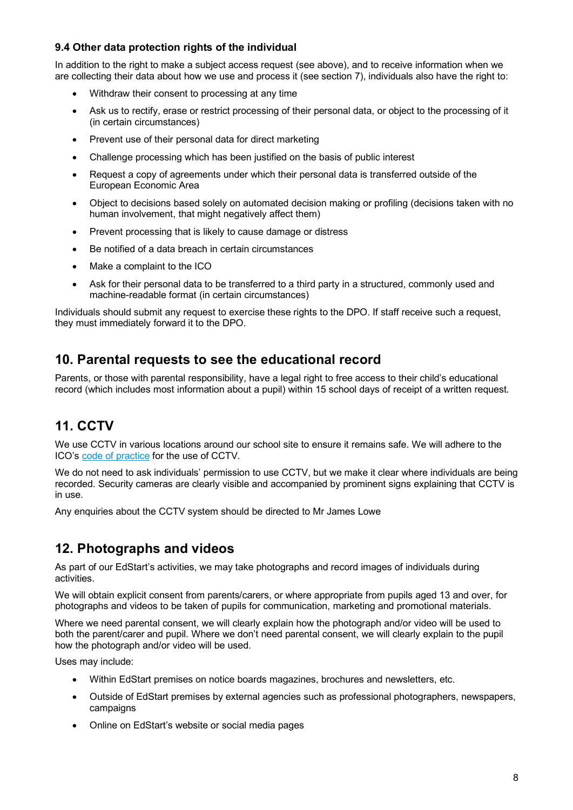## **9.4 Other data protection rights of the individual**

In addition to the right to make a subject access request (see above), and to receive information when we are collecting their data about how we use and process it (see section 7), individuals also have the right to:

- Withdraw their consent to processing at any time
- Ask us to rectify, erase or restrict processing of their personal data, or object to the processing of it (in certain circumstances)
- Prevent use of their personal data for direct marketing
- Challenge processing which has been justified on the basis of public interest
- Request a copy of agreements under which their personal data is transferred outside of the European Economic Area
- Object to decisions based solely on automated decision making or profiling (decisions taken with no human involvement, that might negatively affect them)
- Prevent processing that is likely to cause damage or distress
- Be notified of a data breach in certain circumstances
- Make a complaint to the ICO
- Ask for their personal data to be transferred to a third party in a structured, commonly used and machine-readable format (in certain circumstances)

Individuals should submit any request to exercise these rights to the DPO. If staff receive such a request, they must immediately forward it to the DPO.

## **10. Parental requests to see the educational record**

Parents, or those with parental responsibility, have a legal right to free access to their child's educational record (which includes most information about a pupil) within 15 school days of receipt of a written request.

# **11. CCTV**

We use CCTV in various locations around our school site to ensure it remains safe. We will adhere to the ICO's code of practice for the use of CCTV.

We do not need to ask individuals' permission to use CCTV, but we make it clear where individuals are being recorded. Security cameras are clearly visible and accompanied by prominent signs explaining that CCTV is in use.

Any enquiries about the CCTV system should be directed to Mr James Lowe

## **12. Photographs and videos**

As part of our EdStart's activities, we may take photographs and record images of individuals during activities.

We will obtain explicit consent from parents/carers, or where appropriate from pupils aged 13 and over, for photographs and videos to be taken of pupils for communication, marketing and promotional materials.

Where we need parental consent, we will clearly explain how the photograph and/or video will be used to both the parent/carer and pupil. Where we don't need parental consent, we will clearly explain to the pupil how the photograph and/or video will be used.

Uses may include:

- Within EdStart premises on notice boards magazines, brochures and newsletters, etc.
- Outside of EdStart premises by external agencies such as professional photographers, newspapers, campaigns
- Online on EdStart's website or social media pages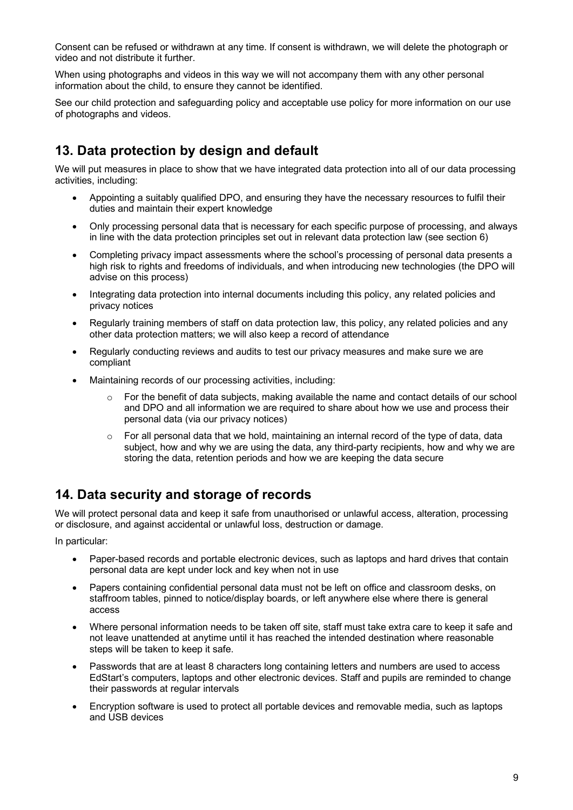Consent can be refused or withdrawn at any time. If consent is withdrawn, we will delete the photograph or video and not distribute it further.

When using photographs and videos in this way we will not accompany them with any other personal information about the child, to ensure they cannot be identified.

See our child protection and safeguarding policy and acceptable use policy for more information on our use of photographs and videos.

# **13. Data protection by design and default**

We will put measures in place to show that we have integrated data protection into all of our data processing activities, including:

- Appointing a suitably qualified DPO, and ensuring they have the necessary resources to fulfil their duties and maintain their expert knowledge
- Only processing personal data that is necessary for each specific purpose of processing, and always in line with the data protection principles set out in relevant data protection law (see section 6)
- Completing privacy impact assessments where the school's processing of personal data presents a high risk to rights and freedoms of individuals, and when introducing new technologies (the DPO will advise on this process)
- Integrating data protection into internal documents including this policy, any related policies and privacy notices
- Regularly training members of staff on data protection law, this policy, any related policies and any other data protection matters; we will also keep a record of attendance
- Regularly conducting reviews and audits to test our privacy measures and make sure we are compliant
- Maintaining records of our processing activities, including:
	- For the benefit of data subjects, making available the name and contact details of our school and DPO and all information we are required to share about how we use and process their personal data (via our privacy notices)
	- o For all personal data that we hold, maintaining an internal record of the type of data, data subject, how and why we are using the data, any third-party recipients, how and why we are storing the data, retention periods and how we are keeping the data secure

# **14. Data security and storage of records**

We will protect personal data and keep it safe from unauthorised or unlawful access, alteration, processing or disclosure, and against accidental or unlawful loss, destruction or damage.

In particular:

- Paper-based records and portable electronic devices, such as laptops and hard drives that contain personal data are kept under lock and key when not in use
- Papers containing confidential personal data must not be left on office and classroom desks, on staffroom tables, pinned to notice/display boards, or left anywhere else where there is general access
- Where personal information needs to be taken off site, staff must take extra care to keep it safe and not leave unattended at anytime until it has reached the intended destination where reasonable steps will be taken to keep it safe.
- Passwords that are at least 8 characters long containing letters and numbers are used to access EdStart's computers, laptops and other electronic devices. Staff and pupils are reminded to change their passwords at regular intervals
- Encryption software is used to protect all portable devices and removable media, such as laptops and USB devices